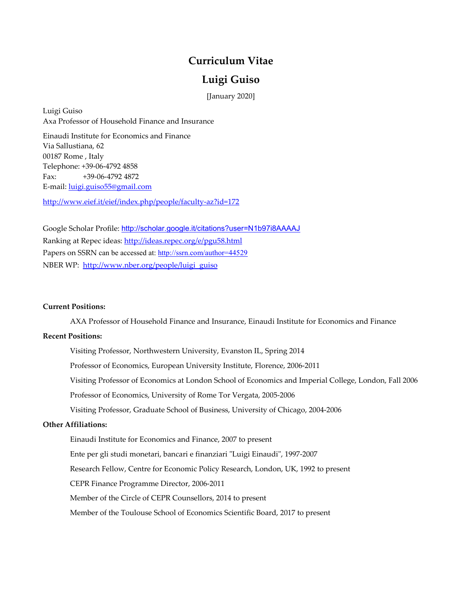# **Curriculum Vitae**

## **Luigi Guiso**

[January 2020]

Luigi Guiso Axa Professor of Household Finance and Insurance

Einaudi Institute for Economics and Finance Via Sallustiana, 62 00187 Rome , Italy Telephone: +39-06-4792 4858 Fax: +39-06-4792 4872 E-mail: [luigi.guiso55@gmail.com](mailto:luigi.guiso55@gmail.com)

<http://www.eief.it/eief/index.php/people/faculty-az?id=172>

Google Scholar Profile: <http://scholar.google.it/citations?user=N1b97i8AAAAJ> Ranking at Repec ideas: http://ideas.repec.org/e/pgu58.html Papers on SSRN can be accessed at: [http://ssrn.com/author=44529](http://hq.ssrn.com/GroupProcesses/RedirectClick.cfm?partid=44529&corid=649&runid=5046&url=http://ssrn.com/author=44529) NBER WP: [http://www.nber.org/people/luigi\\_guiso](http://www.nber.org/people/luigi_guiso)

#### **Current Positions:**

AXA Professor of Household Finance and Insurance, Einaudi Institute for Economics and Finance

## **Recent Positions:**

Visiting Professor, Northwestern University, Evanston IL, Spring 2014 Professor of Economics, European University Institute, Florence, 2006-2011 Visiting Professor of Economics at London School of Economics and Imperial College, London, Fall 2006 Professor of Economics, University of Rome Tor Vergata, 2005-2006 Visiting Professor, Graduate School of Business, University of Chicago, 2004-2006 **Other Affiliations:** Einaudi Institute for Economics and Finance, 2007 to present

Ente per gli studi monetari, bancari e finanziari "Luigi Einaudi", 1997-2007

Research Fellow, Centre for Economic Policy Research, London, UK, 1992 to present

CEPR Finance Programme Director, 2006-2011

Member of the Circle of CEPR Counsellors, 2014 to present

Member of the Toulouse School of Economics Scientific Board, 2017 to present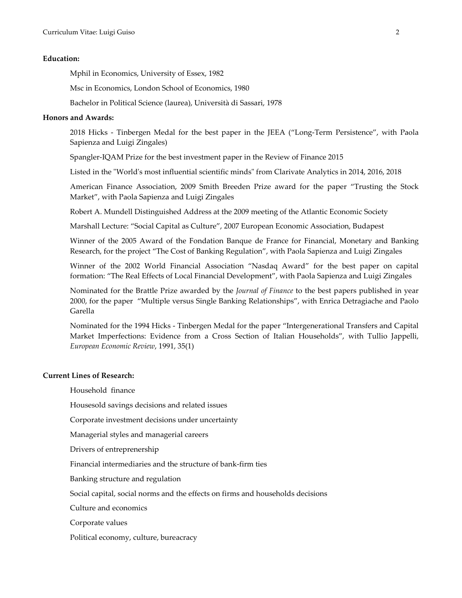#### **Education:**

Mphil in Economics, University of Essex, 1982

Msc in Economics, London School of Economics, 1980

Bachelor in Political Science (laurea), Università di Sassari, 1978

#### **Honors and Awards:**

2018 Hicks - Tinbergen Medal for the best paper in the JEEA ("Long-Term Persistence", with Paola Sapienza and Luigi Zingales)

Spangler-IQAM Prize for the best investment paper in the Review of Finance 2015

Listed in the "World's most influential scientific minds" from Clarivate Analytics in 2014, 2016, 2018

American Finance Association, 2009 Smith Breeden Prize award for the paper "Trusting the Stock Market", with Paola Sapienza and Luigi Zingales

Robert A. Mundell Distinguished Address at the 2009 meeting of the Atlantic Economic Society

Marshall Lecture: "Social Capital as Culture", 2007 European Economic Association, Budapest

Winner of the 2005 Award of the Fondation Banque de France for Financial, Monetary and Banking Research, for the project "The Cost of Banking Regulation", with Paola Sapienza and Luigi Zingales

Winner of the 2002 World Financial Association "Nasdaq Award" for the best paper on capital formation: "The Real Effects of Local Financial Development", with Paola Sapienza and Luigi Zingales

Nominated for the Brattle Prize awarded by the *Journal of Finance* to the best papers published in year 2000, for the paper "Multiple versus Single Banking Relationships", with Enrica Detragiache and Paolo Garella

Nominated for the 1994 Hicks - Tinbergen Medal for the paper "Intergenerational Transfers and Capital Market Imperfections: Evidence from a Cross Section of Italian Households", with Tullio Jappelli, *European Economic Review*, 1991, 35(1)

### **Current Lines of Research:**

Household finance

Housesold savings decisions and related issues

Corporate investment decisions under uncertainty

Managerial styles and managerial careers

Drivers of entreprenership

Financial intermediaries and the structure of bank-firm ties

Banking structure and regulation

Social capital, social norms and the effects on firms and households decisions

Culture and economics

Corporate values

Political economy, culture, bureacracy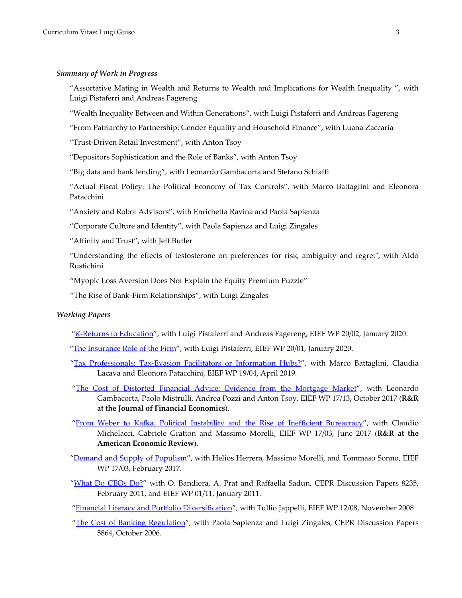#### *Summary of Work in Progress*

"Assortative Mating in Wealth and Returns to Wealth and Implications for Wealth Inequality ", with Luigi Pistaferri and Andreas Fagereng

"Wealth Inequality Between and Within Generations", with Luigi Pistaferri and Andreas Fagereng

"From Patriarchy to Partnership: Gender Equality and Household Finance", with Luana Zaccaria

"Trust-Driven Retail Investment", with Anton Tsoy

"Depositors Sophistication and the Role of Banks", with Anton Tsoy

"Big data and bank lending", with Leonardo Gambacorta and Stefano Schiaffi

"Actual Fiscal Policy: The Political Economy of Tax Controls", with Marco Battaglini and Eleonora Patacchini

"Anxiety and Robot Advisors", with Enrichetta Ravina and Paola Sapienza

"Corporate Culture and Identity", with Paola Sapienza and Luigi Zingales

"Affinity and Trust", with Jeff Butler

"Understanding the effects of testosterone on preferences for risk, ambiguity and regret", with Aldo Rustichini

"Myopic Loss Aversion Does Not Explain the Equity Premium Puzzle"

"The Rise of Bank-Firm Relationships", with Luigi Zingales

#### *Working Papers*

- "*K*[-Returns to Education"](http://www.eief.it/eief/images/WP_20.2.pdf), with Luigi Pistaferri and Andreas Fagereng, EIEF WP 20/02, January 2020.
- ["The Insurance Role of the Firm"](http://www.eief.it/eief/images/WP_20.1.pdf), with Luigi Pistaferri, EIEF WP 20/01, January 2020.
- ["Tax Professionals: Tax-Evasion Facilitators or Information Hubs?"](http://www.eief.it/eief/images/WP_19.4.pdf), with Marco Battaglini, Claudia Lacava and Eleonora Patacchini, EIEF WP 19/04, April 2019.
- ["The Cost of Distorted Financial Advice:](http://www.eief.it/files/2017/10/wp_1713.pdf) Evidence from the Mortgage Market", with Leonardo Gambacorta, Paolo Mistrulli, Andrea Pozzi and Anton Tsoy, EIEF WP 17/13**,** October 2017 (**R&R at the Journal of Financial Economics**).
- ["From Weber to Kafka. Political Instability and the Rise of Inefficient](http://www.eief.it/files/2017/06/wp_178.pdf) Bureacracy", with Claudio Michelacci, Gabriele Gratton and Massimo Morelli, EIEF WP 17/03, June 2017 (**R&R at the American Economic Review**).
- ["Demand and Supply of Populism"](http://www.eief.it/files/2017/02/wp-173.pdf), with Helios Herrera, Massimo Morelli, and Tommaso Sonno, EIEF WP 17/03, February 2017.
- "What [Do CEOs Do?"](http://www.eief.it/files/2012/09/wp-01-what-do-ceos-do.pdf) with O. Bandiera, A. Prat and Raffaella Sadun, CEPR Discussion Papers 8235, February 2011, and EIEF WP 01/11, January 2011.

["Financial Literacy and Portfolio Diversification"](http://www.eief.it/files/2012/09/wp-12-financial-literacy-and-portfolio-diversification.pdf), with Tullio Jappelli, EIEF WP 12/08, November 2008

["The Cost of Banking Regulation"](http://cepr.org/active/publications/discussion_papers/dp.php?dpno=5864), with Paola Sapienza and Luigi Zingales, CEPR Discussion Papers 5864, October 2006.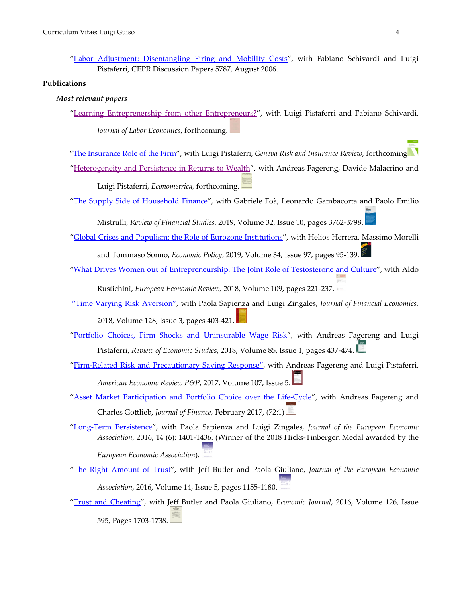#### **Publications**

#### *Most relevant papers*

["Learning Entreprenership from other Entrepreneurs?"](http://docenti.luiss.it/schivardi/files/2012/11/GuisoPistaferriSchivardiEntrepreneurs.pdf), with Luigi Pistaferri and Fabiano Schivardi, *Journal of Labor Economics*, forthcoming.

["The Insurance Role of the Firm"](http://www.eief.it/eief/images/WP_20.1.pdf), with Luigi Pistaferri, *Geneva Risk and Insurance Review*, forthcoming

["Heterogeneity and Persistence in Returns to Wealth"](https://web.stanford.edu/%7Epista/FGMP.pdf), with Andreas Fagereng, Davide Malacrino and

Luigi Pistaferri, *Econometrica,* forthcoming.

["The Supply Side of Household Finance"](http://www.eief.it/eief/images/Guiso_e_altri_RFS_2019.pdf), with Gabriele Foà, Leonardo Gambacorta and Paolo Emilio

Mistrulli, *Review of Financial Studies*, 2019, Volume 32, Issue 10, pages 3762-3798.

- ["Global Crises and Populism: the Role of Eurozone Institutions"](http://www.eief.it/eief/images/WP_18.6.pdf), with Helios Herrera, Massimo Morelli and Tommaso Sonno, *Economic Policy*, 2019, Volume 34, Issue 97, pages 95-139.
- ["What Drives Women out of Entrepreneurship. The Joint Role of Testosterone and Culture"](http://www.eief.it/files/2012/09/wp-02-what-drives-women-out-of-entrepreneurship_the-joint-role-of-testosterone-and-culture.pdf), with Aldo

Rustichini, *European Economic Review,* 2018, Volume 109, pages 221-237.

- ["Time Varying Risk Aversion",](http://www.eief.it/files/2013/09/wp-22-time-varying-risk-aversion.pdf) with Paola Sapienza and Luigi Zingales, *Journal of Financial Economics,* 2018, Volume 128, Issue 3, pages 403-421.
- ["Portfolio Choices, Firm Shocks and Uninsurable Wage Risk"](http://www.eief.it/eief/images/Guiso-Fagereng-Pistaferri_RES_2018.pdf), with Andreas Fagereng and Luigi Pistaferri, *Review of Economic Studies*, 2018, Volume 85, Issue 1, pages 437-474.
- ["Firm-Related Risk and Precautionary Saving Response"](https://www.aeaweb.org/articles?id=10.1257/aer.p20171093), with Andreas Fagereng and Luigi Pistaferri, *American Economic Review P&P*, 2017, Volume 107, Issue 5.
- ["Asset Market Participation and Portfolio Choice over the Life-Cycle"](http://www.eief.it/files/2017/03/guiso_fagereng_gottlieb_joff_2017.pdf), with Andreas Fagereng and Charles Gottlieb, *Journal of Finance*, February 2017, (72:1)
- ["Long-Term Persistence"](http://www.eief.it/files/2017/01/guiso_sapienza_zingales_jeea_2016.pdf), with Paola Sapienza and Luigi Zingales, *Journal of the European Economic Association*, 2016, 14 (6): 1401-1436. (Winner of the 2018 Hicks-Tinbergen Medal awarded by the *European Economic Association*).
- ["The Right Amount of Trust"](http://www.eief.it/files/2016/09/butler_guiso_giuliano_jeea_2016.pdf), with Jeff Butler and Paola Giuliano, *Journal of the European Economic Association*, 2016, Volume 14, Issue 5, pages 1155-1180.
- ["Trust and Cheating"](http://www.eief.it/files/2016/09/butler_guiso_giuliano_ej_2016.pdf), with Jeff Butler and Paola Giuliano, *Economic Journal*, 2016, Volume 126, Issue 595, Pages 1703-1738.

[<sup>&</sup>quot;Labor Adjustment: Disentangling Firing and Mobility Costs"](http://cepr.org/active/publications/discussion_papers/dp.php?dpno=5787), with Fabiano Schivardi and Luigi Pistaferri, CEPR Discussion Papers 5787, August 2006.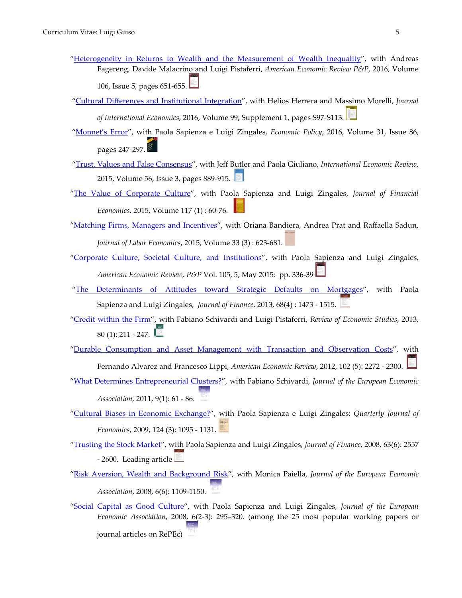- ["Heterogeneity in Returns to Wealth and the Measurement of Wealth Inequality"](https://www.aeaweb.org/articles?id=10.1257/aer.p20161022), with Andreas Fagereng, Davide Malacrino and Luigi Pistaferri, *American Economic Review P&P*, 2016, Volume 106, Issue 5, pages 651-655.
- ["Cultural Differences and Institutional Integration"](http://www.eief.it/files/2016/04/guiso_herrera_morelli_jofie_2016.pdf), with Helios Herrera and Massimo Morelli, *Journal of International Economics*, 2016, Volume 99, Supplement 1, pages S97-S113.
- ["Monnet's Error"](https://academic.oup.com/economicpolicy/issue/31/86), with Paola Sapienza e Luigi Zingales, *Economic Policy*, 2016, Volume 31, Issue 86, pages 247-297.
- ["Trust, Values and False Consensus"](http://www.eief.it/files/2016/09/butler_guiso_giuliano_ier_2015.pdf), with Jeff Butler and Paola Giuliano, *International Economic Review*, 2015, Volume 56, Issue 3, pages 889-915.
- ["The Value of Corporate Culture"](http://www.eief.it/files/2015/07/guiso_sapienza_zingales_joffe_2015.pdf), with Paola Sapienza and Luigi Zingales, *Journal of Financial Economics*, 2015, Volume 117 (1) : 60-76.
- ["Matching Firms, Managers and Incentives"](http://www.eief.it/files/2015/07/guiso-e-altri_jle_2015.pdf), with Oriana Bandiera, Andrea Prat and Raffaella Sadun, *Journal of Labor Economics*, 2015, Volume 33 (3) : 623-681.
- ["Corporate Culture, Societal Culture, and Institutions"](https://www.aeaweb.org/articles?id=10.1257/aer.p20151074), with Paola Sapienza and Luigi Zingales, *American Economic Review, P&P* [Vol. 105, 5, May 2015:](https://www.aeaweb.org/issues/373) pp. 336-39
- ["The Determinants of Attitudes toward Strategic Defaults on](http://www.eief.it/files/2013/07/guiso-sapienza_zingales_joff_2013.pdf) Mortgages", with [Paola](http://www.kellogg.northwestern.edu/Faculty/Directory/Sapienza_Paola.aspx)  [Sapienza](http://www.kellogg.northwestern.edu/Faculty/Directory/Sapienza_Paola.aspx) and Luigi Zingales, *Journal of Finance*, 2013, 68(4) : 1473 - 1515.
- ["Credit within the Firm"](http://www.eief.it/files/2013/02/guiso_pistaferri_schivardi_res_2013.pdf), with Fabiano Schivardi and Luigi Pistaferri, *Review of Economic Studies*, 2013, 80 (1): 211 - 247.
- ["Durable Consumption and Asset Management with Transaction and Observation Costs"](http://www.eief.it/files/2012/08/guiso_flippi_alvarez_aer_2012.pdf), with

Fernando Alvarez and Francesco Lippi, *American Economic Review*, 2012, 102 (5): 2272 - 2300.

- ["What Determines Entrepreneurial Clusters?"](http://www.eief.it/files/2011/03/guisoschivardi_jeea_2011.pdf), with Fabiano Schivardi, *Journal of the European Economic Association,* 2011, 9(1): 61 - 86.
- ["Cultural Biases in Economic Exchange?"](http://www.eief.it/files/2011/02/guiso_sapienza_zingales_qje_2009.pdf), with Paola Sapienza e Luigi Zingales: *Quarterly Journal of Economics*, 2009, 124 (3): 1095 - 1131.
- ["Trusting the Stock Market"](http://www.eief.it/files/2011/02/guiso_sapienza_zingales_joff_2008.pdf), with Paola Sapienza and Luigi Zingales, *Journal of Finance*, 2008, 63(6): 2557 - 2600. Leading article
- ["Risk Aversion, Wealth and Background Risk"](http://www.eief.it/files/2011/02/guiso_paiella_jeea_2008.pdf), with Monica Paiella, *Journal of the European Economic Association*, 2008, 6(6): 1109-1150.
- ["Social Capital as Good Culture"](http://www.eief.it/files/2011/02/guiso_sapienza_zingales_jeea_2008.pdf), with Paola Sapienza and Luigi Zingales, *Journal of the European Economic Association*, 2008, 6(2-3): 295–320. (among the 25 most popular working papers or journal articles on RePEc)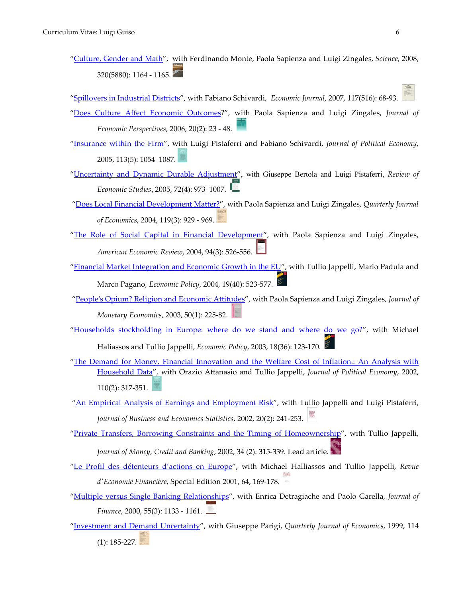["Culture, Gender and Math"](http://science.sciencemag.org/content/320/5880/1164), with Ferdinando Monte, Paola Sapienza and Luigi Zingales, *Science*, 2008, 320(5880): 1164 - 1165.

["Spillovers in Industrial Districts"](http://onlinelibrary.wiley.com/doi/10.1111/j.1468-0297.2007.02002.x/abstract), with Fabiano Schivardi, *Economic Journal*, 2007, 117(516): 68-93.

- ["Does Culture Affect Economic Outcomes?](https://www.aeaweb.org/articles?id=10.1257/jep.20.2.23)", with Paola Sapienza and Luigi Zingales, *Journal of Economic Perspectives*, 2006, 20(2): 23 - 48.
- ["Insurance within the Firm"](http://www.journals.uchicago.edu/doi/abs/10.1086/432136), with Luigi Pistaferri and Fabiano Schivardi, *Journal of Political Economy*, 2005, 113(5): 1054–1087.
- ["Uncertainty and Dynamic Durable Adjustment"](https://academic.oup.com/restud/issue/72/4), with Giuseppe Bertola and Luigi Pistaferri, *Review of Economic Studies*, 2005, 72(4): 973–1007.
- ["Does Local Financial Development Matter?"](https://academic.oup.com/qje/article-abstract/119/3/929/1938857/Does-Local-Financial-Development-Matter?redirectedFrom=fulltext), with Paola Sapienza and Luigi Zingales, *Quarterly Journal of Economics*, 2004, 119(3): 929 - 969.
- ["The Role of Social Capital in Financial Development"](https://www.aeaweb.org/articles?id=10.1257/0002828041464498), with Paola Sapienza and Luigi Zingales, *American Economic Review*, 2004, 94(3): 526-556.
- ["Financial Market Integration and Economic Growth in the EU"](https://academic.oup.com/economicpolicy/issue/19/40?browseBy=volume), with Tullio Jappelli, Mario Padula and Marco Pagano, *Economic Policy*, 2004, 19(40): 523-577.
- ["People's Opium? Religion and Economic Attitudes"](http://www.sciencedirect.com/science/article/pii/S0304393202002027), with Paola Sapienza and Luigi Zingales, *Journal of Monetary Economics*, 2003, 50(1): 225-82.
- ["Households stockholding in Europe: where do we stand and where do we go?"](https://academic.oup.com/economicpolicy/issue/18/36?browseBy=volume), with Michael Haliassos and Tullio Jappelli, *Economic Policy*, 2003, 18(36): 123-170.
- "The [Demand for Money, Financial Innovation and the Welfare Cost of Inflation.: An Analysis with](http://www.journals.uchicago.edu/doi/abs/10.1086/338743)  [Household Data"](http://www.journals.uchicago.edu/doi/abs/10.1086/338743), with Orazio Attanasio and Tullio Jappelli, *Journal of Political Economy*, 2002, 110(2): 317-351.
- ["An Empirical Analysis of Earnings and Employment Risk"](http://amstat.tandfonline.com/doi/abs/10.1198/073500102317351985), with Tullio Jappelli and Luigi Pistaferri, *Journal of Business and Economics Statistics*, 2002, 20(2): 241-253.
- ["Private Transfers, Borrowing Constraints and the Timing of Homeownership"](https://www.jstor.org/stable/3270690?seq=1#page_scan_tab_contents), with Tullio Jappelli, *Journal of Money, Credit and Banking*, 2002, 34 (2): 315-339. Lead article.
- ["Le Profil des détenteurs d'actions en Europe"](http://www.persee.fr/issue/ecofi_0987-3368_2001_num_64_4), with Michael Halliassos and Tullio Jappelli, *Revue d'Economie Financière*, Special Edition 2001, 64, 169-178.
- ["Multiple versus Single Banking Relationships"](http://onlinelibrary.wiley.com/doi/10.1111/0022-1082.00243/abstract), with Enrica Detragiache and Paolo Garella, *Journal of Finance*, 2000, 55(3): 1133 - 1161.
- ["Investment and](https://academic.oup.com/qje/article-abstract/114/1/185/1921723/Investment-and-Demand-Uncertainty) Demand Uncertainty", with Giuseppe Parigi, *Quarterly Journal of Economics*, 1999, 114

(1): 185-227.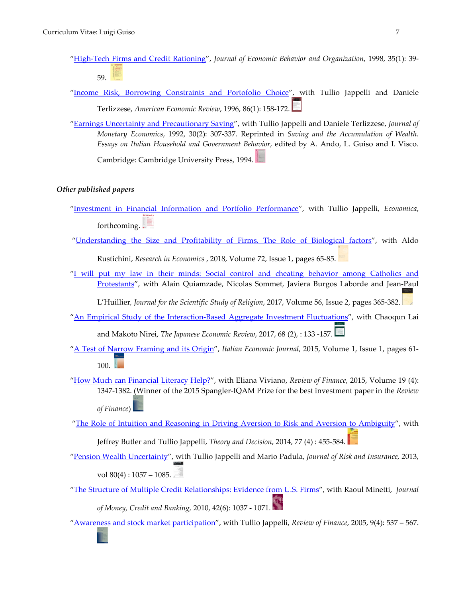- ["High-Tech Firms and Credit Rationing"](http://www.sciencedirect.com/science/journal/01672681/35/1), *Journal of Economic Behavior and Organization*, 1998, 35(1): 39- 59.
- ["Income Risk, Borrowing Constraints and Portofolio Choice"](https://www.jstor.org/stable/2118260?seq=1#page_scan_tab_contents), with Tullio Jappelli and Daniele Terlizzese, *American Economic Review*, 1996, 86(1): 158-172.
- ["Earnings Uncertainty and Precautionary Saving"](http://www.sciencedirect.com/science/journal/03043932/30/2), with Tullio Jappelli and Daniele Terlizzese, *Journal of Monetary Economics*, 1992, 30(2): 307-337. Reprinted in *Saving and the Accumulation of Wealth. Essays on Italian Household and Government Behavior*, edited by A. Ando, L. Guiso and I. Visco. Cambridge: Cambridge University Press, 1994.

#### *Other published papers*

- ["Investment in Financial Information and Portfolio Performance"](http://www.eief.it/eief/images/WP_18.7.pdf), with Tullio Jappelli, *Economica*, forthcoming.
- ["Understanding the Size and Profitability of Firms. The Role of Biological factors"](https://www.sciencedirect.com/science/article/pii/S1090944317301035?via%3Dihub), with Aldo

Rustichini, *Research in Economics* , 2018, Volume 72, Issue 1, pages 65-85.

"I will put my law in their minds: Social control and cheating behavior among Catholics and [Protestants"](http://onlinelibrary.wiley.com/doi/10.1111/jssr.12337/abstract), with Alain Quiamzade, Nicolas Sommet, Javiera Burgos Laborde and Jean-Paul

L'Huillier*, Journal for the Scientific Study of Religion*, 2017, Volume 56, Issue 2, pages 365-382.

- ["An Empirical Study of the Interaction-Based Aggregate Investment Fluctuations"](http://onlinelibrary.wiley.com/doi/10.1111/jere.12088/abstract), with Chaoqun Lai and Makoto Nirei, *The Japanese Economic Review*, 2017, 68 (2), : 133 -157.
- ["A Test of Narrow Framing and its Origin"](https://rd.springer.com/article/10.1007/s40797-015-0013-8), *Italian Economic Journal*, 2015, Volume 1, Issue 1, pages 61-  $100.$
- ["How Much can Financial Literacy Help?"](https://academic.oup.com/rof/issue/19/4), with Eliana Viviano, *Review of Finance*, 2015, Volume 19 (4): 1347-1382. (Winner of the 2015 Spangler-IQAM Prize for the best investment paper in the *Review* 
	- *of Finance*)

["The Role of Intuition and Reasoning in Driving Aversion to Risk and Aversion to Ambiguity"](https://rd.springer.com/article/10.1007/s11238-013-9407-y), with

Jeffrey Butler and Tullio Jappelli, *Theory and Decision*, 2014, 77 (4) : 455-584.

["Pension Wealth Uncertainty"](http://onlinelibrary.wiley.com/doi/10.1111/j.1539-6975.2012.01491.x/abstract), with Tullio Jappelli and Mario Padula, *Journal of Risk and Insurance,* 2013, vol 80(4): 1057 – 1085.

["The Structure of Multiple Credit Relationships: Evidence from U.S. Firms"](http://onlinelibrary.wiley.com/doi/10.1111/j.1538-4616.2010.00319.x/abstract), with Raoul Minetti, *Journal* 

*of Money, Credit and Banking,* 2010, 42(6): 1037 - 1071.

["Awareness and stock market participation"](https://academic.oup.com/rof/issue/9/4), with Tullio Jappelli, *Review of Finance*, 2005, 9(4): 537 – 567.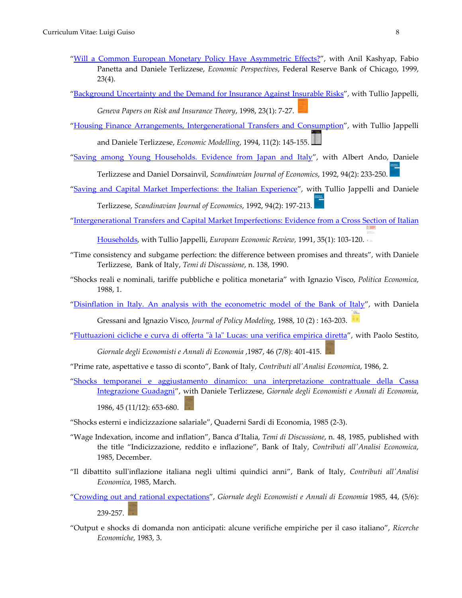- ["Will a Common European Monetary Policy Have Asymmetric Effects?"](https://www.chicagofed.org/publications/economic-perspectives/1999/4qepart4), with Anil Kashyap, Fabio Panetta and Daniele Terlizzese, *Economic Perspectives*, Federal Reserve Bank of Chicago, 1999, 23(4).
- ["Background Uncertainty and the Demand for Insurance Against Insurable Risks"](https://www.jstor.org/stable/41953353?seq=1#page_scan_tab_contents), with Tullio Jappelli, *Geneva Papers on Risk and Insurance Theory*, 1998, 23(1): 7-27.
- ["Housing Finance Arrangements, Intergenerational Transfers and Consumption"](http://www.sciencedirect.com/science/journal/02649993/11/2), with Tullio Jappelli

and Daniele Terlizzese, *Economic Modelling*, 1994, 11(2): 145-155.

["Saving among Young Households. Evidence from Japan and Italy"](http://www.jstor.org/stable/3440449?seq=1#page_scan_tab_contents), with Albert Ando, Daniele

Terlizzese and Daniel Dorsainvil, *Scandinavian Journal of Economics*, 1992, 94(2): 233-250.

- ["Saving and Capital Market Imperfections: the Italian Experience"](http://www.jstor.org/stable/3440446?seq=1#page_scan_tab_contents), with Tullio Jappelli and Daniele Terlizzese, *Scandinavian Journal of Economics*, 1992, 94(2): 197-213.
- ["Intergenerational Transfers and Capital Market Imperfections: Evidence from a Cross Section of Italian](http://www.sciencedirect.com/science/journal/00142921/35/1)

[Households,](http://www.sciencedirect.com/science/journal/00142921/35/1) with Tullio Jappelli, *European Economic Review,* 1991, 35(1): 103-120.

- "Time consistency and subgame perfection: the difference between promises and threats", with Daniele Terlizzese, Bank of Italy, *Temi di Discussione*, n. 138, 1990.
- "Shocks reali e nominali, tariffe pubbliche e politica monetaria" with Ignazio Visco, *Politica Economica*, 1988, 1.

["Disinflation in Italy. An analysis with the econometric model of the Bank of Italy"](http://www.sciencedirect.com/science/journal/01618938/10/2), with Daniela

Gressani and Ignazio Visco, *Journal of Policy Modeling*, 1988, 10 (2) : 163-203.

["Fluttuazioni cicliche e curva di offerta "à la" Lucas: una verifica empirica diretta"](https://www.jstor.org/stable/23246606?seq=1#page_scan_tab_contents), with Paolo Sestito,

*Giornale degli Economisti e Annali di Economia* ,1987, 46 (7/8): 401-415.

- "Prime rate, aspettative e tasso di sconto", Bank of Italy, *Contributi all'Analisi Economica*, 1986, 2.
- ["Shocks temporanei e aggiustamento dinamico: una interpretazione contrattuale della Cassa](https://www.jstor.org/stable/23246169?seq=1#page_scan_tab_contents)  [Integrazione Guadagni"](https://www.jstor.org/stable/23246169?seq=1#page_scan_tab_contents), with Daniele Terlizzese, *Giornale degli Economisti e Annali di Economia*, 1986, 45 (11/12): 653-680.
- "Shocks esterni e indicizzazione salariale", Quaderni Sardi di Economia, 1985 (2-3).
- "Wage Indexation, income and inflation", Banca d'Italia, *Temi di Discussione*, n. 48, 1985, published with the title "Indicizzazione, reddito e inflazione", Bank of Italy, *Contributi all'Analisi Economica*, 1985, December.
- "Il dibattito sull'inflazione italiana negli ultimi quindici anni", Bank of Italy, *Contributi all'Analisi Economica*, 1985, March.
- ["Crowding out and rational expectations"](https://www.jstor.org/stable/23245868?seq=1#page_scan_tab_contents), *Giornale degli Economisti e Annali di Economia* 1985, 44, (5/6): 239-257.
- "Output e shocks di domanda non anticipati: alcune verifiche empiriche per il caso italiano", *Ricerche Economiche*, 1983, 3.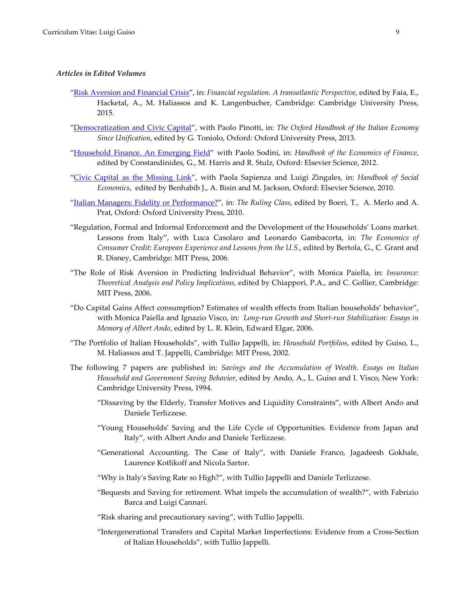#### *Articles in Edited Volumes*

- ["Risk Aversion and Financial Crisis"](http://www.eief.it/files/2014/12/wp-12-risk-aversion-and-financial-crisis_.pdf), in: *Financial regulation. A transatlantic Perspective*, edited by Faia, E., Hacketal, A., M. Haliassos and K. Langenbucher, Cambridge: Cambridge University Press, 2015.
- ["Democratization and Civic Capital"](http://www.eief.it/files/2012/09/wp-02-democratization-and-civic-capital.pdf), with Paolo Pinotti, in: *The Oxford Handbook of the Italian Economy Since Unification*, edited by G. Toniolo, Oxford: Oxford University Press, 2013.
- ["Household Finance. An Emerging Field"](http://www.eief.it/files/2012/09/wp-04-household-finance-an-emerging-field.pdf) with Paolo Sodini, in: *Handbook of the Economics of Finance*, edited by Constandinides, G., M. Harris and R. Stulz, Oxford: Elsevier Science, 2012.
- ["Civic Capital as the Missing Link"](http://www.eief.it/files/2012/09/wp-05-civic-capital-as-the-missing-link.pdf), with Paola Sapienza and Luigi Zingales, in: *Handbook of Social Economics*, edited by Benhabib J., A. Bisin and M. Jackson, Oxford: Elsevier Science, 2010.
- ["Italian Managers: Fidelity or Performance?"](https://books.google.it/books?id=wCgUDAAAQBAJ&pg=PA162&lpg=PA162&dq=Italian+Managers:+Fidelity+or+Performance?&source=bl&ots=2UL23x6RWM&sig=3IGUeLw8dvET3ti_2yGq3d-sl98&hl=it&sa=X&ved=0ahUKEwijn7bNpaTUAhVGJMAKHd0LBq0Q6AEIQDAD#v=onepage&q=Italian%20Managers%3A%20Fidelity%20or%20Performance%3F&f=false), in: *The Ruling Class*, edited by Boeri, T., A. Merlo and A. Prat, Oxford: Oxford University Press, 2010.
- "Regulation, Formal and Informal Enforcement and the Development of the Households' Loans market. Lessons from Italy", with Luca Casolaro and Leonardo Gambacorta, in: *The Economics of Consumer Credit: European Experience and Lessons from the U.S.*, edited by Bertola, G., C. Grant and R. Disney, Cambridge: MIT Press, 2006.
- "The Role of Risk Aversion in Predicting Individual Behavior", with Monica Paiella, in: *Insurance: Theoretical Analysis and Policy Implications*, edited by Chiappori, P.A., and C. Gollier, Cambridge: MIT Press, 2006.
- "Do Capital Gains Affect consumption? Estimates of wealth effects from Italian households' behavior", with Monica Paiella and Ignazio Visco, in: *Long-run Growth and Short-run Stabilization: Essays in Memory of Albert Ando*, edited by L. R. Klein, Edward Elgar, 2006.
- "The Portfolio of Italian Households", with Tullio Jappelli, in: *Household Portfolios*, edited by Guiso, L., M. Haliassos and T. Jappelli, Cambridge: MIT Press, 2002.
- The following 7 papers are published in: *Savings and the Accumulation of Wealth. Essays on Italian Household and Government Saving Behavior*, edited by Ando, A., L. Guiso and I. Visco, New York: Cambridge University Press, 1994.
	- "Dissaving by the Elderly, Transfer Motives and Liquidity Constraints", with Albert Ando and Daniele Terlizzese.
	- "Young Households' Saving and the Life Cycle of Opportunities. Evidence from Japan and Italy", with Albert Ando and Daniele Terlizzese.
	- "Generational Accounting. The Case of Italy", with Daniele Franco, Jagadeesh Gokhale, Laurence Kotlikoff and Nicola Sartor.
	- "Why is Italy's Saving Rate so High?", with Tullio Jappelli and Daniele Terlizzese.
	- "Bequests and Saving for retirement. What impels the accumulation of wealth?", with Fabrizio Barca and Luigi Cannari.
	- "Risk sharing and precautionary saving", with Tullio Jappelli.
	- "Intergenerational Transfers and Capital Market Imperfections: Evidence from a Cross-Section of Italian Households", with Tullio Jappelli.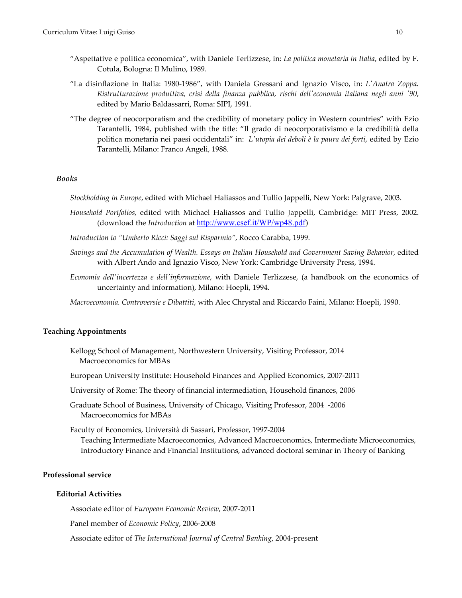- "Aspettative e politica economica", with Daniele Terlizzese, in: *La politica monetaria in Italia*, edited by F. Cotula, Bologna: Il Mulino, 1989.
- "La disinflazione in Italia: 1980-1986", with Daniela Gressani and Ignazio Visco, in: *L'Anatra Zoppa. Ristrutturazione produttiva, crisi della finanza pubblica, rischi dell'economia italiana negli anni '90*, edited by Mario Baldassarri, Roma: SIPI, 1991.
- "The degree of neocorporatism and the credibility of monetary policy in Western countries" with Ezio Tarantelli, 1984, published with the title: "Il grado di neocorporativismo e la credibilità della politica monetaria nei paesi occidentali" in: *L'utopia dei deboli è la paura dei forti*, edited by Ezio Tarantelli, Milano: Franco Angeli, 1988.

#### *Books*

*Stockholding in Europe*, edited with Michael Haliassos and Tullio Jappelli, New York: Palgrave, 2003.

- *Household Portfolios,* edited with Michael Haliassos and Tullio Jappelli, Cambridge: MIT Press, 2002. (download the *Introduction* at [http://www.csef.it/WP/wp48.pdf\)](http://www.csef.it/WP/wp48.pdf)
- *Introduction to "Umberto Ricci: Saggi sul Risparmio"*, Rocco Carabba, 1999.
- *Savings and the Accumulation of Wealth. Essays on Italian Household and Government Saving Behavior*, edited with Albert Ando and Ignazio Visco, New York: Cambridge University Press, 1994.
- *Economia dell'incertezza e dell'informazione*, with Daniele Terlizzese, (a handbook on the economics of uncertainty and information), Milano: Hoepli, 1994.

*Macroeconomia. Controversie e Dibattiti*, with Alec Chrystal and Riccardo Faini, Milano: Hoepli, 1990.

#### **Teaching Appointments**

- Kellogg School of Management, Northwestern University, Visiting Professor, 2014 Macroeconomics for MBAs
- European University Institute: Household Finances and Applied Economics, 2007-2011

University of Rome: The theory of financial intermediation, Household finances, 2006

Graduate School of Business, University of Chicago, Visiting Professor, 2004 -2006 Macroeconomics for MBAs

Faculty of Economics, Università di Sassari, Professor, 1997-2004 Teaching Intermediate Macroeconomics, Advanced Macroeconomics, Intermediate Microeconomics, Introductory Finance and Financial Institutions, advanced doctoral seminar in Theory of Banking

## **Professional service**

#### **Editorial Activities**

Associate editor of *European Economic Review*, 2007-2011

Panel member of *Economic Policy*, 2006-2008

Associate editor of *The International Journal of Central Banking*, 2004-present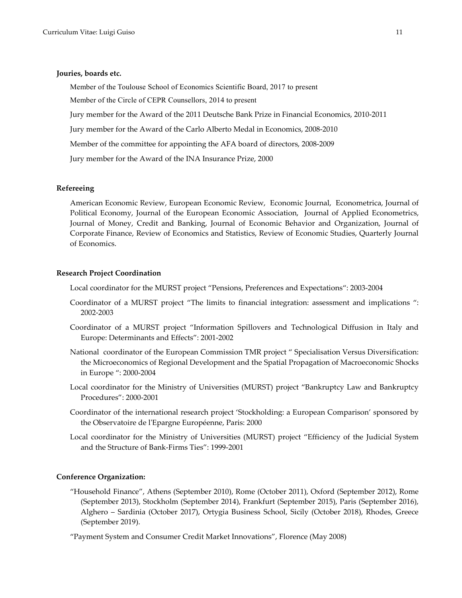#### **Jouries, boards etc.**

Member of the Toulouse School of Economics Scientific Board, 2017 to present

Member of the Circle of CEPR Counsellors, 2014 to present

Jury member for the Award of the 2011 Deutsche Bank Prize in Financial Economics, 2010-2011

Jury member for the Award of the Carlo Alberto Medal in Economics, 2008-2010

Member of the committee for appointing the AFA board of directors, 2008-2009

Jury member for the Award of the INA Insurance Prize, 2000

#### **Refereeing**

American Economic Review, European Economic Review, Economic Journal, Econometrica, Journal of Political Economy, Journal of the European Economic Association, Journal of Applied Econometrics, Journal of Money, Credit and Banking, Journal of Economic Behavior and Organization, Journal of Corporate Finance, Review of Economics and Statistics, Review of Economic Studies, Quarterly Journal of Economics.

#### **Research Project Coordination**

Local coordinator for the MURST project "Pensions, Preferences and Expectations": 2003-2004

- Coordinator of a MURST project "The limits to financial integration: assessment and implications ": 2002-2003
- Coordinator of a MURST project "Information Spillovers and Technological Diffusion in Italy and Europe: Determinants and Effects": 2001-2002
- National coordinator of the European Commission TMR project " Specialisation Versus Diversification: the Microeconomics of Regional Development and the Spatial Propagation of Macroeconomic Shocks in Europe ": 2000-2004
- Local coordinator for the Ministry of Universities (MURST) project "Bankruptcy Law and Bankruptcy Procedures": 2000-2001
- Coordinator of the international research project 'Stockholding: a European Comparison' sponsored by the Observatoire de l'Epargne Européenne, Paris: 2000
- Local coordinator for the Ministry of Universities (MURST) project "Efficiency of the Judicial System and the Structure of Bank-Firms Ties": 1999-2001

#### **Conference Organization:**

"Household Finance", Athens (September 2010), Rome (October 2011), Oxford (September 2012), Rome (September 2013), Stockholm (September 2014), Frankfurt (September 2015), Paris (September 2016), Alghero – Sardinia (October 2017), Ortygia Business School, Sicily (October 2018), Rhodes, Greece (September 2019).

"Payment System and Consumer Credit Market Innovations", Florence (May 2008)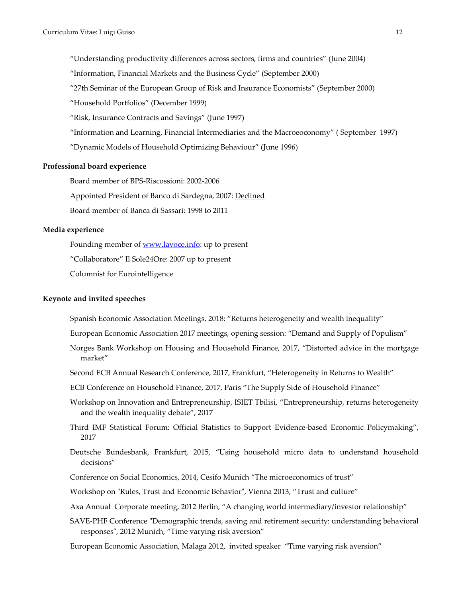"Understanding productivity differences across sectors, firms and countries" (June 2004)

"Information, Financial Markets and the Business Cycle" (September 2000)

"27th Seminar of the European Group of Risk and Insurance Economists" (September 2000)

"Household Portfolios" (December 1999)

"Risk, Insurance Contracts and Savings" (June 1997)

"Information and Learning, Financial Intermediaries and the Macroeoconomy" ( September 1997)

"Dynamic Models of Household Optimizing Behaviour" (June 1996)

#### **Professional board experience**

Board member of BPS-Riscossioni: 2002-2006

Appointed President of Banco di Sardegna, 2007: Declined

Board member of Banca di Sassari: 1998 to 2011

## **Media experience**

Founding member of [www.lavoce.info:](http://www.lavoce.info/) up to present

"Collaboratore" Il Sole24Ore: 2007 up to present

Columnist for Eurointelligence

#### **Keynote and invited speeches**

Spanish Economic Association Meetings, 2018: "Returns heterogeneity and wealth inequality"

European Economic Association 2017 meetings, opening session: "Demand and Supply of Populism"

Norges Bank Workshop on Housing and Household Finance, 2017, "Distorted advice in the mortgage market"

Second ECB Annual Research Conference, 2017, Frankfurt, "Heterogeneity in Returns to Wealth"

ECB Conference on Household Finance, 2017, Paris "The Supply Side of Household Finance"

Workshop on Innovation and Entrepreneurship, ISIET Tbilisi, "Entrepreneurship, returns heterogeneity and the wealth inequality debate", 2017

Third IMF Statistical Forum: Official Statistics to Support Evidence-based Economic Policymaking", 2017

Deutsche Bundesbank, Frankfurt, 2015, "Using household micro data to understand household decisions"

Conference on Social Economics, 2014, Cesifo Munich "The microeconomics of trust"

Workshop on "Rules, Trust and Economic Behavior", Vienna 2013, "Trust and culture"

Axa Annual Corporate meeting, 2012 Berlin, "A changing world intermediary/investor relationship"

SAVE-PHF Conference "Demographic trends, saving and retirement security: understanding behavioral responses", 2012 Munich, "Time varying risk aversion"

European Economic Association, Malaga 2012, invited speaker "Time varying risk aversion"